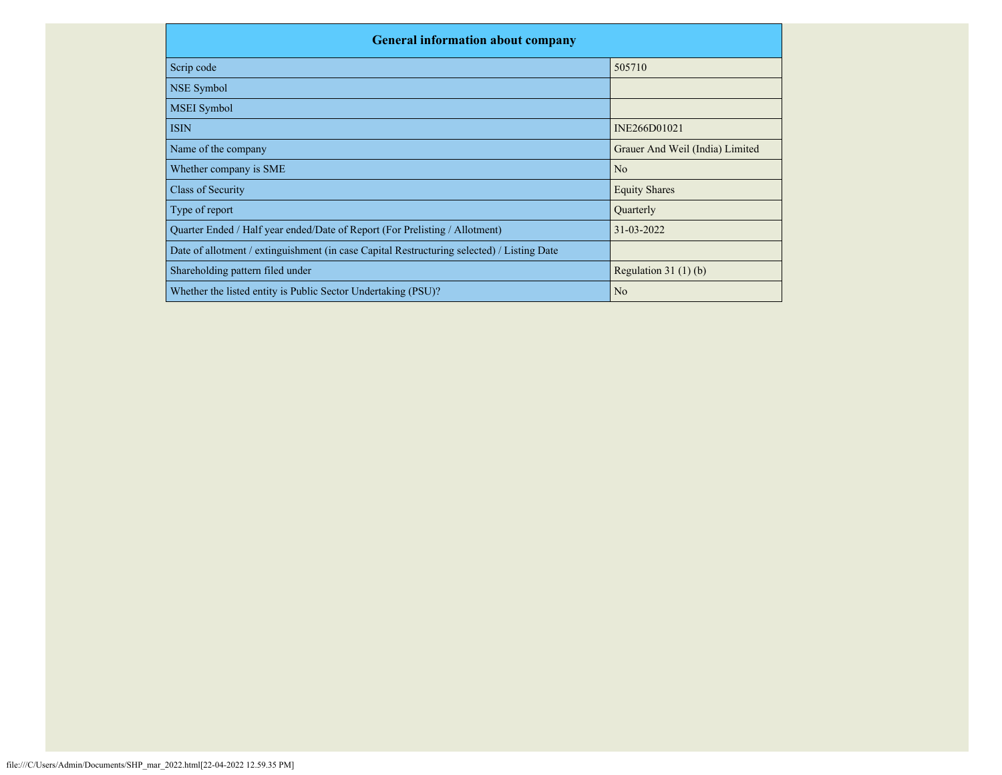| <b>General information about company</b>                                                   |                                 |  |  |  |  |  |  |  |
|--------------------------------------------------------------------------------------------|---------------------------------|--|--|--|--|--|--|--|
| Scrip code                                                                                 | 505710                          |  |  |  |  |  |  |  |
| NSE Symbol                                                                                 |                                 |  |  |  |  |  |  |  |
| <b>MSEI</b> Symbol                                                                         |                                 |  |  |  |  |  |  |  |
| <b>ISIN</b>                                                                                | INE266D01021                    |  |  |  |  |  |  |  |
| Name of the company                                                                        | Grauer And Weil (India) Limited |  |  |  |  |  |  |  |
| Whether company is SME                                                                     | N <sub>o</sub>                  |  |  |  |  |  |  |  |
| Class of Security                                                                          | <b>Equity Shares</b>            |  |  |  |  |  |  |  |
| Type of report                                                                             | Quarterly                       |  |  |  |  |  |  |  |
| Quarter Ended / Half year ended/Date of Report (For Prelisting / Allotment)                | 31-03-2022                      |  |  |  |  |  |  |  |
| Date of allotment / extinguishment (in case Capital Restructuring selected) / Listing Date |                                 |  |  |  |  |  |  |  |
| Shareholding pattern filed under                                                           | Regulation $31(1)(b)$           |  |  |  |  |  |  |  |
| Whether the listed entity is Public Sector Undertaking (PSU)?                              | N <sub>o</sub>                  |  |  |  |  |  |  |  |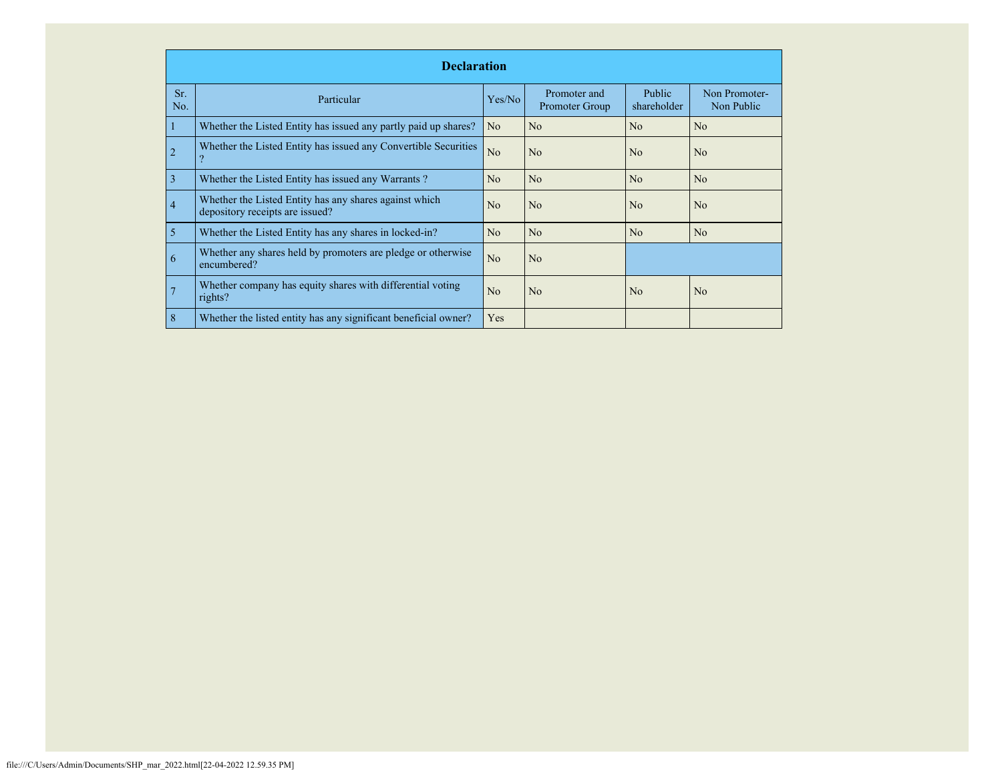|                | <b>Declaration</b>                                                                        |                |                                |                              |                             |  |  |  |  |  |
|----------------|-------------------------------------------------------------------------------------------|----------------|--------------------------------|------------------------------|-----------------------------|--|--|--|--|--|
| Sr.<br>No.     | Particular                                                                                | Yes/No         | Promoter and<br>Promoter Group | <b>Public</b><br>shareholder | Non Promoter-<br>Non Public |  |  |  |  |  |
|                | Whether the Listed Entity has issued any partly paid up shares?                           | N <sub>o</sub> | No                             | No                           | N <sub>o</sub>              |  |  |  |  |  |
| $\overline{2}$ | Whether the Listed Entity has issued any Convertible Securities                           | N <sub>o</sub> | N <sub>0</sub>                 | No                           | N <sub>o</sub>              |  |  |  |  |  |
| 3              | Whether the Listed Entity has issued any Warrants?                                        | N <sub>o</sub> | N <sub>o</sub>                 | No                           | N <sub>o</sub>              |  |  |  |  |  |
| $\overline{4}$ | Whether the Listed Entity has any shares against which<br>depository receipts are issued? | N <sub>0</sub> | N <sub>o</sub>                 | N <sub>0</sub>               | N <sub>o</sub>              |  |  |  |  |  |
| 5              | Whether the Listed Entity has any shares in locked-in?                                    | No             | No                             | No                           | N <sub>o</sub>              |  |  |  |  |  |
| 6              | Whether any shares held by promoters are pledge or otherwise<br>encumbered?               | N <sub>o</sub> | N <sub>o</sub>                 |                              |                             |  |  |  |  |  |
| 7              | Whether company has equity shares with differential voting<br>rights?                     | No             | No                             | N <sub>o</sub>               | N <sub>o</sub>              |  |  |  |  |  |
| 8              | Whether the listed entity has any significant beneficial owner?                           | Yes            |                                |                              |                             |  |  |  |  |  |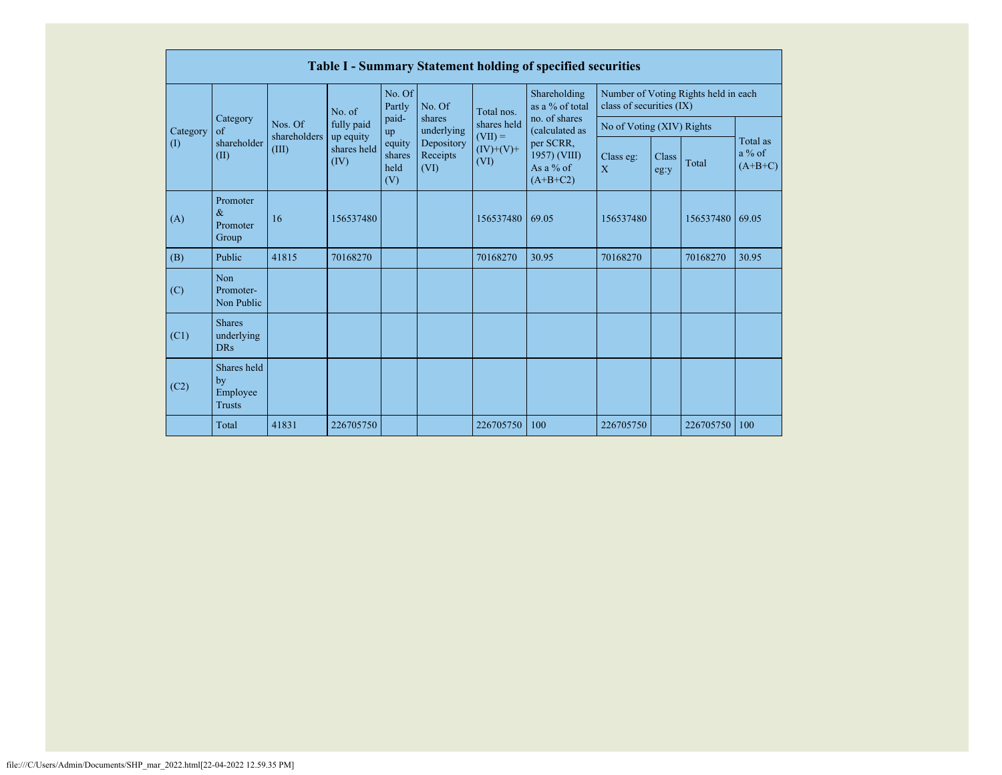|                         |                                                |                                  |                                  |                                 |                                |                                                 | <b>Table I - Summary Statement holding of specified securities</b>                        |                                                                  |               |           |                                   |
|-------------------------|------------------------------------------------|----------------------------------|----------------------------------|---------------------------------|--------------------------------|-------------------------------------------------|-------------------------------------------------------------------------------------------|------------------------------------------------------------------|---------------|-----------|-----------------------------------|
| Category<br>$($ $($ $)$ | Category<br>$\alpha$ f<br>shareholder<br>(II)  | Nos. Of<br>shareholders<br>(III) | No. of                           | No. Of<br>Partly                | No. Of                         | Total nos.                                      | Shareholding<br>as a % of total                                                           | Number of Voting Rights held in each<br>class of securities (IX) |               |           |                                   |
|                         |                                                |                                  | fully paid                       | paid-<br>up                     | shares<br>underlying           | shares held<br>$(VII) =$<br>$(IV)+(V)+$<br>(VI) | no. of shares<br>(calculated as<br>per SCRR,<br>1957) (VIII)<br>As a $%$ of<br>$(A+B+C2)$ | No of Voting (XIV) Rights                                        |               |           |                                   |
|                         |                                                |                                  | up equity<br>shares held<br>(IV) | equity<br>shares<br>held<br>(V) | Depository<br>Receipts<br>(VI) |                                                 |                                                                                           | Class eg:<br>X                                                   | Class<br>eg:y | Total     | Total as<br>$a\%$ of<br>$(A+B+C)$ |
| (A)                     | Promoter<br>$\&$<br>Promoter<br>Group          | 16                               | 156537480                        |                                 |                                | 156537480                                       | 69.05                                                                                     | 156537480                                                        |               | 156537480 | 69.05                             |
| (B)                     | Public                                         | 41815                            | 70168270                         |                                 |                                | 70168270                                        | 30.95                                                                                     | 70168270                                                         |               | 70168270  | 30.95                             |
| (C)                     | <b>Non</b><br>Promoter-<br>Non Public          |                                  |                                  |                                 |                                |                                                 |                                                                                           |                                                                  |               |           |                                   |
| (C1)                    | <b>Shares</b><br>underlying<br><b>DRs</b>      |                                  |                                  |                                 |                                |                                                 |                                                                                           |                                                                  |               |           |                                   |
| (C2)                    | Shares held<br>by<br>Employee<br><b>Trusts</b> |                                  |                                  |                                 |                                |                                                 |                                                                                           |                                                                  |               |           |                                   |
|                         | Total                                          | 41831                            | 226705750                        |                                 |                                | 226705750                                       | 100                                                                                       | 226705750                                                        |               | 226705750 | 100                               |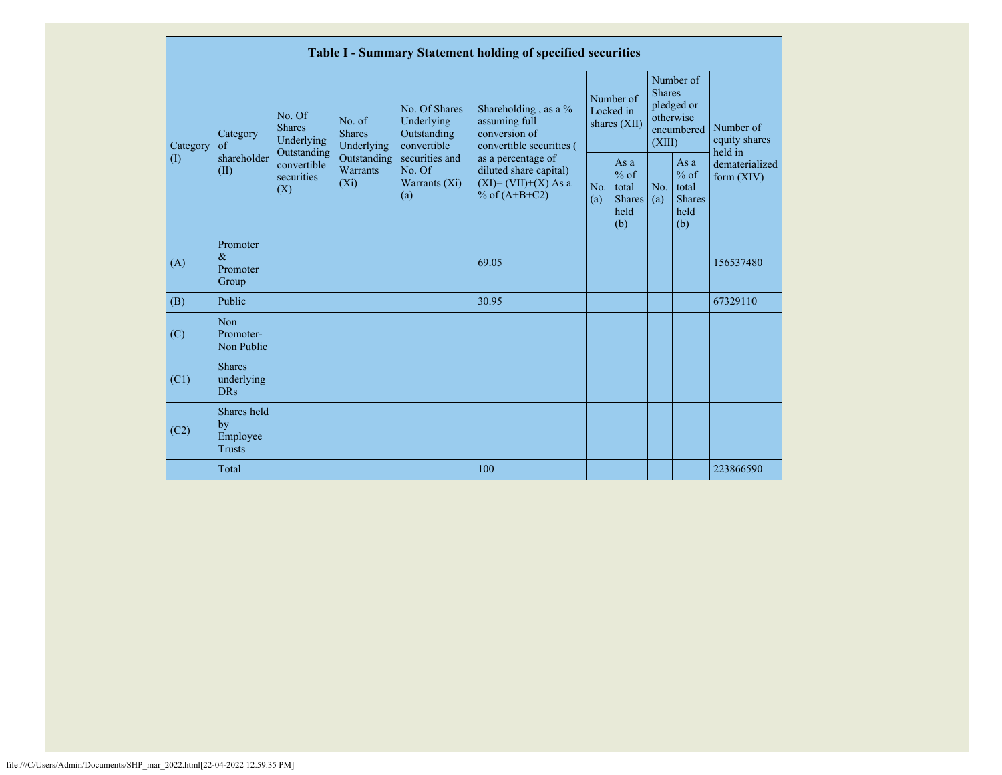|                                                                                                                                                                                                                                                                                                                                                                                       | Table I - Summary Statement holding of specified securities                                |            |                                                           |            |                                                                                    |                                        |  |                                                                               |  |                                       |  |
|---------------------------------------------------------------------------------------------------------------------------------------------------------------------------------------------------------------------------------------------------------------------------------------------------------------------------------------------------------------------------------------|--------------------------------------------------------------------------------------------|------------|-----------------------------------------------------------|------------|------------------------------------------------------------------------------------|----------------------------------------|--|-------------------------------------------------------------------------------|--|---------------------------------------|--|
| No. Of Shares<br>No. Of<br>No. of<br>Underlying<br><b>Shares</b><br><b>Shares</b><br>Outstanding<br>Category<br>Underlying<br>Underlying<br>convertible<br>$\alpha$ f<br>Category<br>Outstanding<br>shareholder<br>Outstanding<br>securities and<br>$\left( \mathrm{I}\right)$<br>convertible<br>Warrants<br>No. Of<br>(II)<br>securities<br>$(X_i)$<br>Warrants $(Xi)$<br>(X)<br>(a) |                                                                                            |            |                                                           |            | Shareholding, as a %<br>assuming full<br>conversion of<br>convertible securities ( | Number of<br>Locked in<br>shares (XII) |  | Number of<br><b>Shares</b><br>pledged or<br>otherwise<br>encumbered<br>(XIII) |  | Number of<br>equity shares<br>held in |  |
|                                                                                                                                                                                                                                                                                                                                                                                       | as a percentage of<br>diluted share capital)<br>$(XI) = (VII)+(X) As a$<br>% of $(A+B+C2)$ | No.<br>(a) | As $a$<br>$%$ of<br>total<br><b>Shares</b><br>held<br>(b) | No.<br>(a) | As a<br>$%$ of<br>total<br>Shares<br>held<br>(b)                                   | dematerialized<br>form $(XIV)$         |  |                                                                               |  |                                       |  |
| (A)                                                                                                                                                                                                                                                                                                                                                                                   | Promoter<br>$\&$<br>Promoter<br>Group                                                      |            |                                                           |            | 69.05                                                                              |                                        |  |                                                                               |  | 156537480                             |  |
| (B)                                                                                                                                                                                                                                                                                                                                                                                   | Public                                                                                     |            |                                                           |            | 30.95                                                                              |                                        |  |                                                                               |  | 67329110                              |  |
| (C)                                                                                                                                                                                                                                                                                                                                                                                   | Non<br>Promoter-<br>Non Public                                                             |            |                                                           |            |                                                                                    |                                        |  |                                                                               |  |                                       |  |
| (C1)                                                                                                                                                                                                                                                                                                                                                                                  | <b>Shares</b><br>underlying<br>DR <sub>s</sub>                                             |            |                                                           |            |                                                                                    |                                        |  |                                                                               |  |                                       |  |
| (C2)                                                                                                                                                                                                                                                                                                                                                                                  | Shares held<br>by<br>Employee<br><b>Trusts</b>                                             |            |                                                           |            |                                                                                    |                                        |  |                                                                               |  |                                       |  |
|                                                                                                                                                                                                                                                                                                                                                                                       | Total                                                                                      |            |                                                           |            | 100                                                                                |                                        |  |                                                                               |  | 223866590                             |  |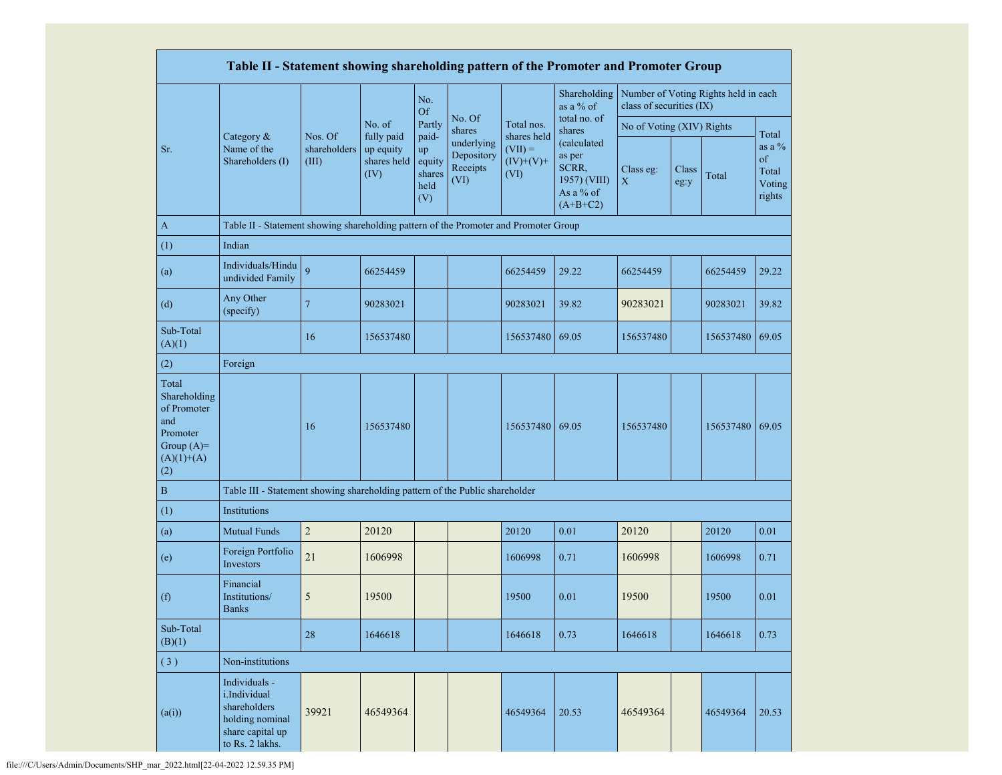|                                                                                                | Table II - Statement showing shareholding pattern of the Promoter and Promoter Group                    |                                  |                                                |                                                |                                              |                                  |                                                                           |                           |               |                                      |                                             |
|------------------------------------------------------------------------------------------------|---------------------------------------------------------------------------------------------------------|----------------------------------|------------------------------------------------|------------------------------------------------|----------------------------------------------|----------------------------------|---------------------------------------------------------------------------|---------------------------|---------------|--------------------------------------|---------------------------------------------|
|                                                                                                |                                                                                                         |                                  |                                                | No.<br>Of                                      |                                              |                                  | Shareholding<br>as a % of                                                 | class of securities (IX)  |               | Number of Voting Rights held in each |                                             |
|                                                                                                |                                                                                                         |                                  | No. of                                         | Partly                                         | No. Of<br>shares                             | Total nos.<br>shares held        | total no. of<br>shares                                                    | No of Voting (XIV) Rights |               |                                      | Total                                       |
| Sr.                                                                                            | Category &<br>Name of the<br>Shareholders (I)                                                           | Nos. Of<br>shareholders<br>(III) | fully paid<br>up equity<br>shares held<br>(IV) | paid-<br>up<br>equity<br>shares<br>held<br>(V) | underlying<br>Depository<br>Receipts<br>(VI) | $(VII) =$<br>$(IV)+(V)+$<br>(VI) | (calculated<br>as per<br>SCRR,<br>1957) (VIII)<br>As a % of<br>$(A+B+C2)$ | Class eg:<br>X            | Class<br>eg:y | Total                                | as a $%$<br>of<br>Total<br>Voting<br>rights |
| $\mathbf{A}$                                                                                   | Table II - Statement showing shareholding pattern of the Promoter and Promoter Group                    |                                  |                                                |                                                |                                              |                                  |                                                                           |                           |               |                                      |                                             |
| (1)                                                                                            | Indian                                                                                                  |                                  |                                                |                                                |                                              |                                  |                                                                           |                           |               |                                      |                                             |
| (a)                                                                                            | Individuals/Hindu<br>undivided Family                                                                   | $\overline{9}$                   | 66254459                                       |                                                |                                              | 66254459                         | 29.22                                                                     | 66254459                  |               | 66254459                             | 29.22                                       |
| (d)                                                                                            | Any Other<br>(specify)                                                                                  | $\overline{7}$                   | 90283021                                       |                                                |                                              | 90283021                         | 39.82                                                                     | 90283021                  |               | 90283021                             | 39.82                                       |
| Sub-Total<br>(A)(1)                                                                            |                                                                                                         | 16                               | 156537480                                      |                                                |                                              | 156537480                        | 69.05                                                                     | 156537480                 |               | 156537480                            | 69.05                                       |
| (2)                                                                                            | Foreign                                                                                                 |                                  |                                                |                                                |                                              |                                  |                                                                           |                           |               |                                      |                                             |
| Total<br>Shareholding<br>of Promoter<br>and<br>Promoter<br>Group $(A)=$<br>$(A)(1)+(A)$<br>(2) |                                                                                                         | 16                               | 156537480                                      |                                                |                                              | 156537480                        | 69.05                                                                     | 156537480                 |               | 156537480 69.05                      |                                             |
| $\, {\bf B}$                                                                                   | Table III - Statement showing shareholding pattern of the Public shareholder                            |                                  |                                                |                                                |                                              |                                  |                                                                           |                           |               |                                      |                                             |
| (1)                                                                                            | Institutions                                                                                            |                                  |                                                |                                                |                                              |                                  |                                                                           |                           |               |                                      |                                             |
| (a)                                                                                            | <b>Mutual Funds</b>                                                                                     | $\overline{c}$                   | 20120                                          |                                                |                                              | 20120                            | 0.01                                                                      | 20120                     |               | 20120                                | 0.01                                        |
| (e)                                                                                            | Foreign Portfolio<br>Investors                                                                          | 21                               | 1606998                                        |                                                |                                              | 1606998                          | 0.71                                                                      | 1606998                   |               | 1606998                              | 0.71                                        |
| (f)                                                                                            | Financial<br>Institutions/<br><b>Banks</b>                                                              | 5                                | 19500                                          |                                                |                                              | 19500                            | 0.01                                                                      | 19500                     |               | 19500                                | 0.01                                        |
| Sub-Total<br>(B)(1)                                                                            |                                                                                                         | 28                               | 1646618                                        |                                                |                                              | 1646618                          | 0.73                                                                      | 1646618                   |               | 1646618                              | 0.73                                        |
| (3)                                                                                            | Non-institutions                                                                                        |                                  |                                                |                                                |                                              |                                  |                                                                           |                           |               |                                      |                                             |
| (a(i))                                                                                         | Individuals -<br>i.Individual<br>shareholders<br>holding nominal<br>share capital up<br>to Rs. 2 lakhs. | 39921                            | 46549364                                       |                                                |                                              | 46549364                         | 20.53                                                                     | 46549364                  |               | 46549364                             | 20.53                                       |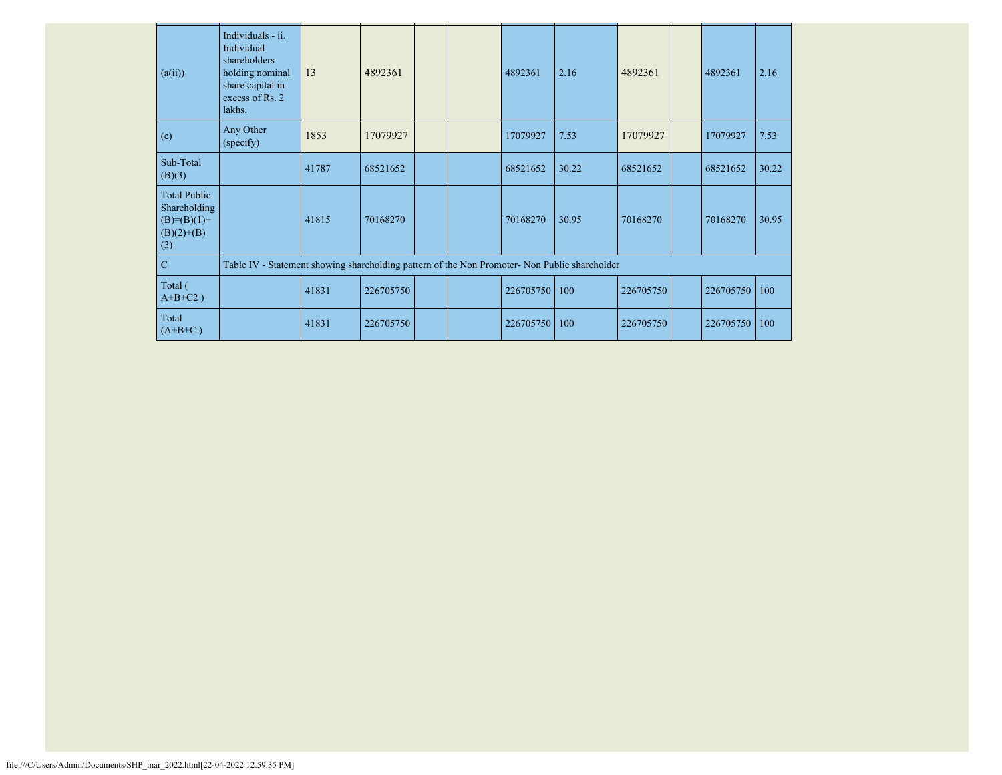| (a(ii))                                                                       | Individuals - ii.<br>Individual<br>shareholders<br>holding nominal<br>share capital in<br>excess of Rs. 2<br>lakhs. | 13    | 4892361   |  | 4892361   | 2.16  | 4892361   | 4892361   | 2.16  |
|-------------------------------------------------------------------------------|---------------------------------------------------------------------------------------------------------------------|-------|-----------|--|-----------|-------|-----------|-----------|-------|
| (e)                                                                           | Any Other<br>(specify)                                                                                              | 1853  | 17079927  |  | 17079927  | 7.53  | 17079927  | 17079927  | 7.53  |
| Sub-Total<br>(B)(3)                                                           |                                                                                                                     | 41787 | 68521652  |  | 68521652  | 30.22 | 68521652  | 68521652  | 30.22 |
| <b>Total Public</b><br>Shareholding<br>$(B)= (B)(1) +$<br>$(B)(2)+(B)$<br>(3) |                                                                                                                     | 41815 | 70168270  |  | 70168270  | 30.95 | 70168270  | 70168270  | 30.95 |
| $\mathbf C$                                                                   | Table IV - Statement showing shareholding pattern of the Non Promoter- Non Public shareholder                       |       |           |  |           |       |           |           |       |
| Total (<br>$A+B+C2$ )                                                         |                                                                                                                     | 41831 | 226705750 |  | 226705750 | 100   | 226705750 | 226705750 | 100   |
| Total<br>$(A+B+C)$                                                            |                                                                                                                     | 41831 | 226705750 |  | 226705750 | 100   | 226705750 | 226705750 | 100   |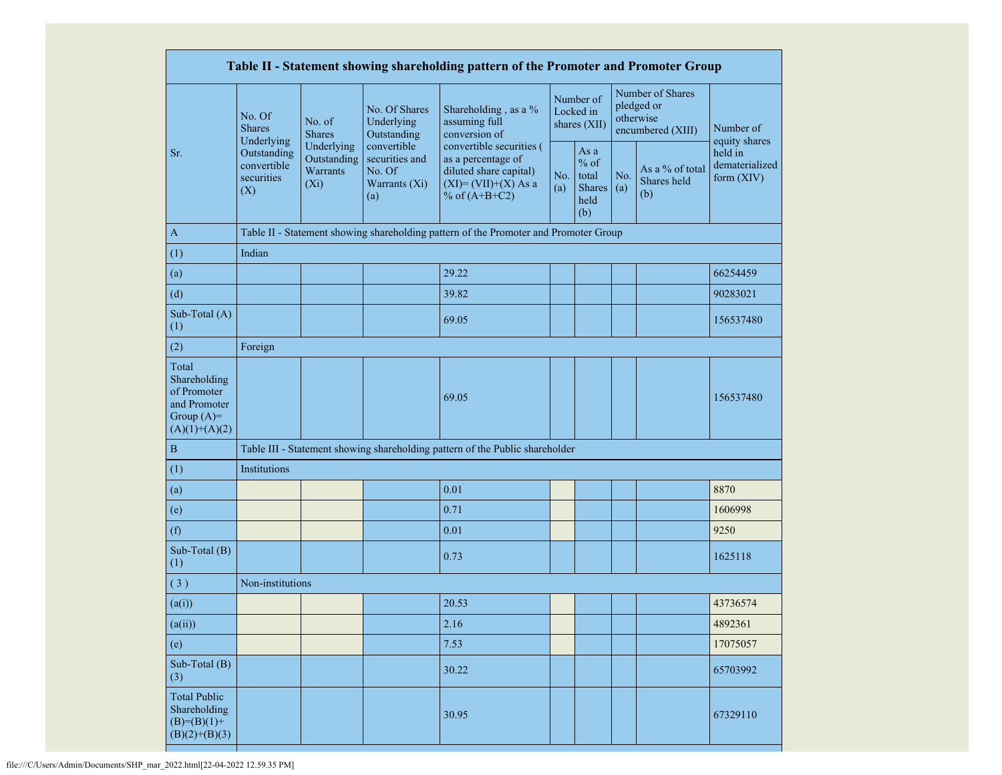| Table II - Statement showing shareholding pattern of the Promoter and Promoter Group    |                                                 |                                                  |                                                                 |                                                                                                                        |                                        |                                                         |            |                                                                  |                                           |
|-----------------------------------------------------------------------------------------|-------------------------------------------------|--------------------------------------------------|-----------------------------------------------------------------|------------------------------------------------------------------------------------------------------------------------|----------------------------------------|---------------------------------------------------------|------------|------------------------------------------------------------------|-------------------------------------------|
|                                                                                         | No. Of<br><b>Shares</b><br>Underlying           | No. of<br><b>Shares</b>                          | No. Of Shares<br>Underlying<br>Outstanding                      | Shareholding, as a %<br>assuming full<br>conversion of                                                                 | Number of<br>Locked in<br>shares (XII) |                                                         |            | Number of Shares<br>pledged or<br>otherwise<br>encumbered (XIII) | Number of<br>equity shares                |
| Sr.                                                                                     | Outstanding<br>convertible<br>securities<br>(X) | Underlying<br>Outstanding<br>Warrants<br>$(X_i)$ | convertible<br>securities and<br>No. Of<br>Warrants (Xi)<br>(a) | convertible securities (<br>as a percentage of<br>diluted share capital)<br>$(XI) = (VII)+(X) As a$<br>% of $(A+B+C2)$ | No.<br>(a)                             | As a<br>$%$ of<br>total<br><b>Shares</b><br>held<br>(b) | No.<br>(a) | As a % of total<br>Shares held<br>(b)                            | held in<br>dematerialized<br>form $(XIV)$ |
| A                                                                                       |                                                 |                                                  |                                                                 | Table II - Statement showing shareholding pattern of the Promoter and Promoter Group                                   |                                        |                                                         |            |                                                                  |                                           |
| (1)                                                                                     | Indian                                          |                                                  |                                                                 |                                                                                                                        |                                        |                                                         |            |                                                                  |                                           |
| (a)                                                                                     |                                                 |                                                  |                                                                 | 29.22                                                                                                                  |                                        |                                                         |            |                                                                  | 66254459                                  |
| (d)                                                                                     |                                                 |                                                  |                                                                 | 39.82                                                                                                                  |                                        |                                                         |            |                                                                  | 90283021                                  |
| Sub-Total (A)<br>(1)                                                                    |                                                 |                                                  |                                                                 | 69.05                                                                                                                  |                                        |                                                         |            |                                                                  | 156537480                                 |
| (2)                                                                                     | Foreign                                         |                                                  |                                                                 |                                                                                                                        |                                        |                                                         |            |                                                                  |                                           |
| Total<br>Shareholding<br>of Promoter<br>and Promoter<br>Group $(A)=$<br>$(A)(1)+(A)(2)$ |                                                 |                                                  |                                                                 | 69.05                                                                                                                  |                                        |                                                         |            |                                                                  | 156537480                                 |
| $\, {\bf B}$                                                                            |                                                 |                                                  |                                                                 | Table III - Statement showing shareholding pattern of the Public shareholder                                           |                                        |                                                         |            |                                                                  |                                           |
| (1)                                                                                     | Institutions                                    |                                                  |                                                                 |                                                                                                                        |                                        |                                                         |            |                                                                  |                                           |
| (a)                                                                                     |                                                 |                                                  |                                                                 | 0.01                                                                                                                   |                                        |                                                         |            |                                                                  | 8870                                      |
| (e)                                                                                     |                                                 |                                                  |                                                                 | 0.71                                                                                                                   |                                        |                                                         |            |                                                                  | 1606998                                   |
| (f)                                                                                     |                                                 |                                                  |                                                                 | 0.01                                                                                                                   |                                        |                                                         |            |                                                                  | 9250                                      |
| Sub-Total (B)<br>(1)                                                                    |                                                 |                                                  |                                                                 | 0.73                                                                                                                   |                                        |                                                         |            |                                                                  | 1625118                                   |
| (3)                                                                                     | Non-institutions                                |                                                  |                                                                 |                                                                                                                        |                                        |                                                         |            |                                                                  |                                           |
| (a(i))                                                                                  |                                                 |                                                  |                                                                 | 20.53                                                                                                                  |                                        |                                                         |            |                                                                  | 43736574                                  |
| (a(ii))                                                                                 |                                                 |                                                  |                                                                 | 2.16                                                                                                                   |                                        |                                                         |            |                                                                  | 4892361                                   |
| (e)                                                                                     |                                                 |                                                  |                                                                 | 7.53                                                                                                                   |                                        |                                                         |            |                                                                  | 17075057                                  |
| Sub-Total (B)<br>(3)                                                                    |                                                 |                                                  |                                                                 | 30.22                                                                                                                  |                                        |                                                         |            |                                                                  | 65703992                                  |
| <b>Total Public</b><br>Shareholding<br>$(B)= (B)(1) +$<br>$(B)(2)+(B)(3)$               |                                                 |                                                  |                                                                 | 30.95                                                                                                                  |                                        |                                                         |            |                                                                  | 67329110                                  |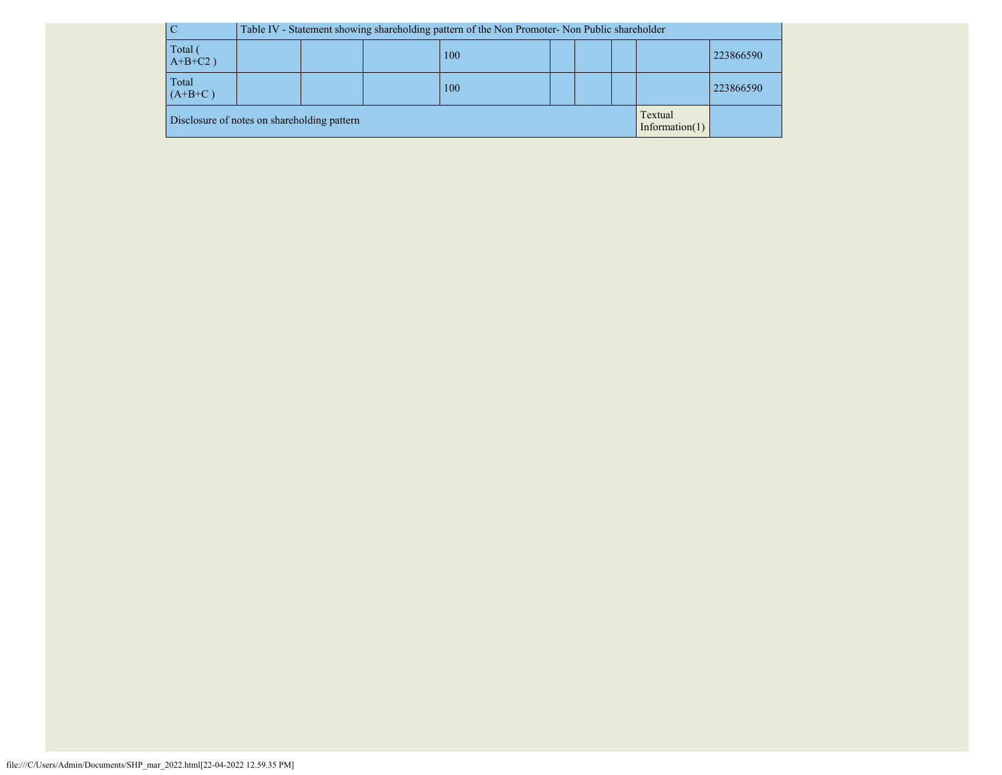|            |                                                                             | Table IV - Statement showing shareholding pattern of the Non Promoter- Non Public shareholder |  |  |  |  |  |  |  |
|------------|-----------------------------------------------------------------------------|-----------------------------------------------------------------------------------------------|--|--|--|--|--|--|--|
| Total (    | 223866590                                                                   |                                                                                               |  |  |  |  |  |  |  |
| $A+B+C2$ ) | 100                                                                         |                                                                                               |  |  |  |  |  |  |  |
| Total      | 100                                                                         |                                                                                               |  |  |  |  |  |  |  |
| $(A+B+C)$  | 223866590                                                                   |                                                                                               |  |  |  |  |  |  |  |
|            | Textual<br>Disclosure of notes on shareholding pattern<br>Information $(1)$ |                                                                                               |  |  |  |  |  |  |  |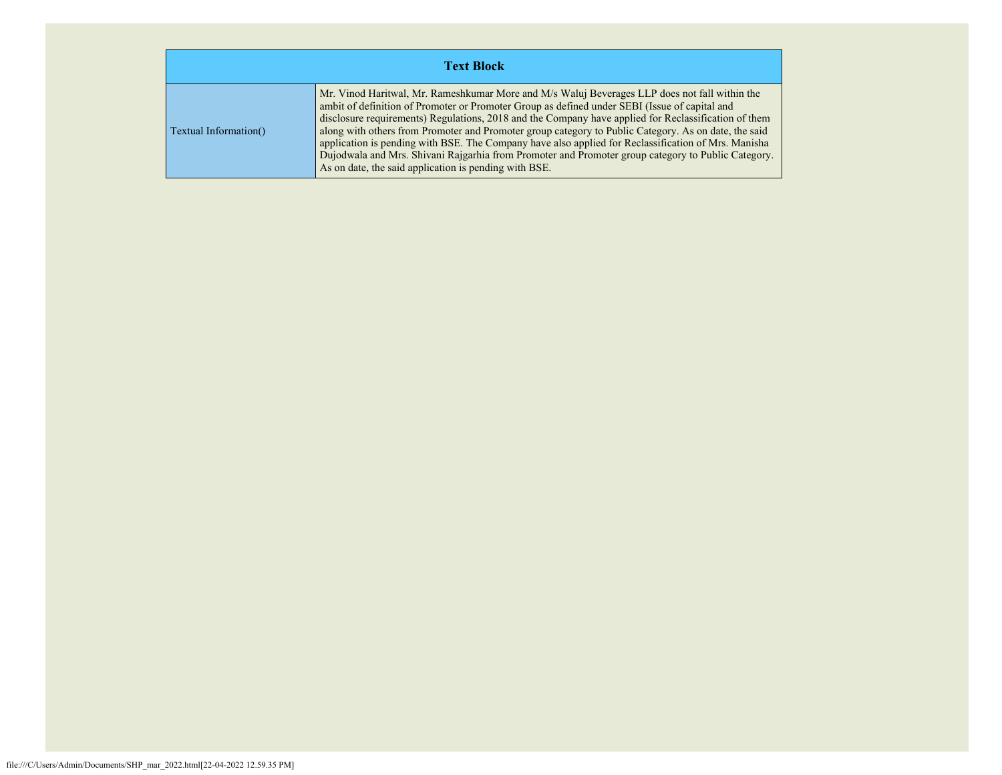| <b>Text Block</b>     |                                                                                                                                                                                                                                                                                                                                                                                                                                                                                                                                                                                                                                                                                      |  |  |  |  |  |  |
|-----------------------|--------------------------------------------------------------------------------------------------------------------------------------------------------------------------------------------------------------------------------------------------------------------------------------------------------------------------------------------------------------------------------------------------------------------------------------------------------------------------------------------------------------------------------------------------------------------------------------------------------------------------------------------------------------------------------------|--|--|--|--|--|--|
| Textual Information() | Mr. Vinod Haritwal, Mr. Rameshkumar More and M/s Waluj Beverages LLP does not fall within the<br>ambit of definition of Promoter or Promoter Group as defined under SEBI (Issue of capital and<br>disclosure requirements) Regulations, 2018 and the Company have applied for Reclassification of them<br>along with others from Promoter and Promoter group category to Public Category. As on date, the said<br>application is pending with BSE. The Company have also applied for Reclassification of Mrs. Manisha<br>Dujodwala and Mrs. Shivani Rajgarhia from Promoter and Promoter group category to Public Category.<br>As on date, the said application is pending with BSE. |  |  |  |  |  |  |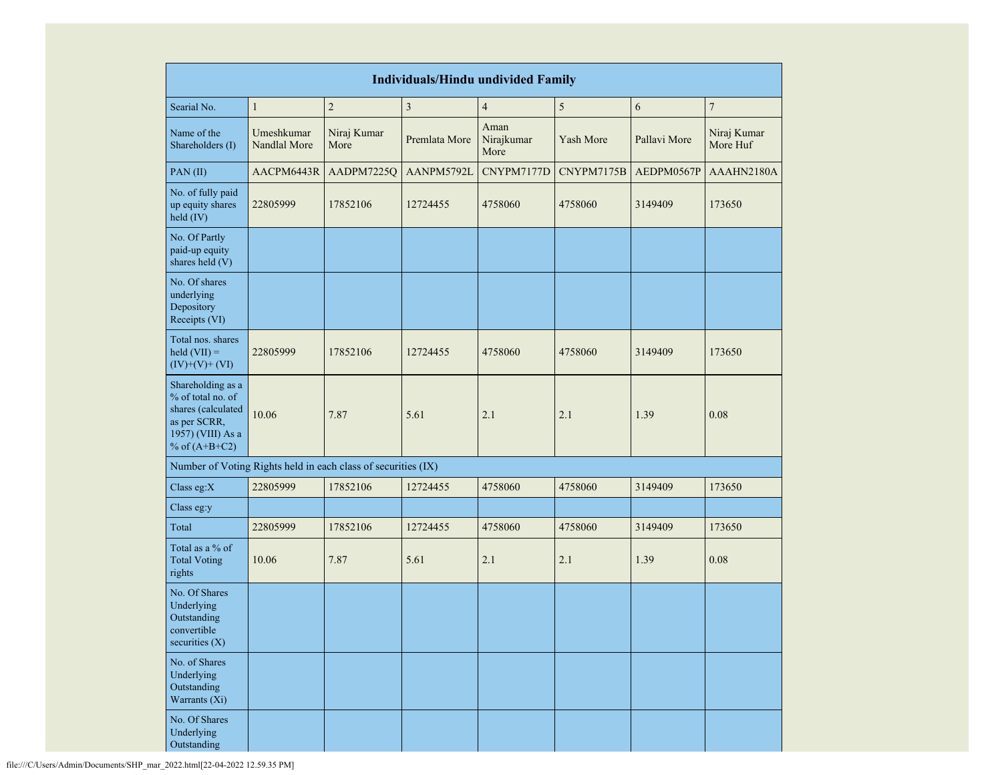| <b>Individuals/Hindu undivided Family</b>                                                                            |                            |                     |                         |                            |            |              |                         |  |  |
|----------------------------------------------------------------------------------------------------------------------|----------------------------|---------------------|-------------------------|----------------------------|------------|--------------|-------------------------|--|--|
| Searial No.                                                                                                          | $\mathbf{1}$               | $\overline{c}$      | $\overline{\mathbf{3}}$ | $\overline{\mathbf{4}}$    | $\sqrt{5}$ | 6            | $\boldsymbol{7}$        |  |  |
| Name of the<br>Shareholders (I)                                                                                      | Umeshkumar<br>Nandlal More | Niraj Kumar<br>More | Premlata More           | Aman<br>Nirajkumar<br>More | Yash More  | Pallavi More | Niraj Kumar<br>More Huf |  |  |
| PAN(II)                                                                                                              | AACPM6443R                 | AADPM7225Q          | AANPM5792L              | CNYPM7177D                 | CNYPM7175B | AEDPM0567P   | AAAHN2180A              |  |  |
| No. of fully paid<br>up equity shares<br>held (IV)                                                                   | 22805999                   | 17852106            | 12724455                | 4758060                    | 4758060    | 3149409      | 173650                  |  |  |
| No. Of Partly<br>paid-up equity<br>shares held (V)                                                                   |                            |                     |                         |                            |            |              |                         |  |  |
| No. Of shares<br>underlying<br>Depository<br>Receipts (VI)                                                           |                            |                     |                         |                            |            |              |                         |  |  |
| Total nos. shares<br>$\text{held (VII)} =$<br>$(IV)+(V)+(VI)$                                                        | 22805999                   | 17852106            | 12724455                | 4758060                    | 4758060    | 3149409      | 173650                  |  |  |
| Shareholding as a<br>% of total no. of<br>shares (calculated<br>as per SCRR,<br>1957) (VIII) As a<br>% of $(A+B+C2)$ | 10.06                      | 7.87                | 5.61                    | 2.1                        | 2.1        | 1.39         | 0.08                    |  |  |
| Number of Voting Rights held in each class of securities (IX)                                                        |                            |                     |                         |                            |            |              |                         |  |  |
| Class eg:X                                                                                                           | 22805999                   | 17852106            | 12724455                | 4758060                    | 4758060    | 3149409      | 173650                  |  |  |
| Class eg:y                                                                                                           |                            |                     |                         |                            |            |              |                         |  |  |
| Total                                                                                                                | 22805999                   | 17852106            | 12724455                | 4758060                    | 4758060    | 3149409      | 173650                  |  |  |
| Total as a % of<br><b>Total Voting</b><br>rights                                                                     | 10.06                      | 7.87                | 5.61                    | 2.1                        | 2.1        | 1.39         | 0.08                    |  |  |
| No. Of Shares<br>Underlying<br>Outstanding<br>convertible<br>securities $(X)$                                        |                            |                     |                         |                            |            |              |                         |  |  |
| No. of Shares<br>Underlying<br>Outstanding<br>Warrants (Xi)                                                          |                            |                     |                         |                            |            |              |                         |  |  |
| No. Of Shares<br>Underlying<br>Outstanding                                                                           |                            |                     |                         |                            |            |              |                         |  |  |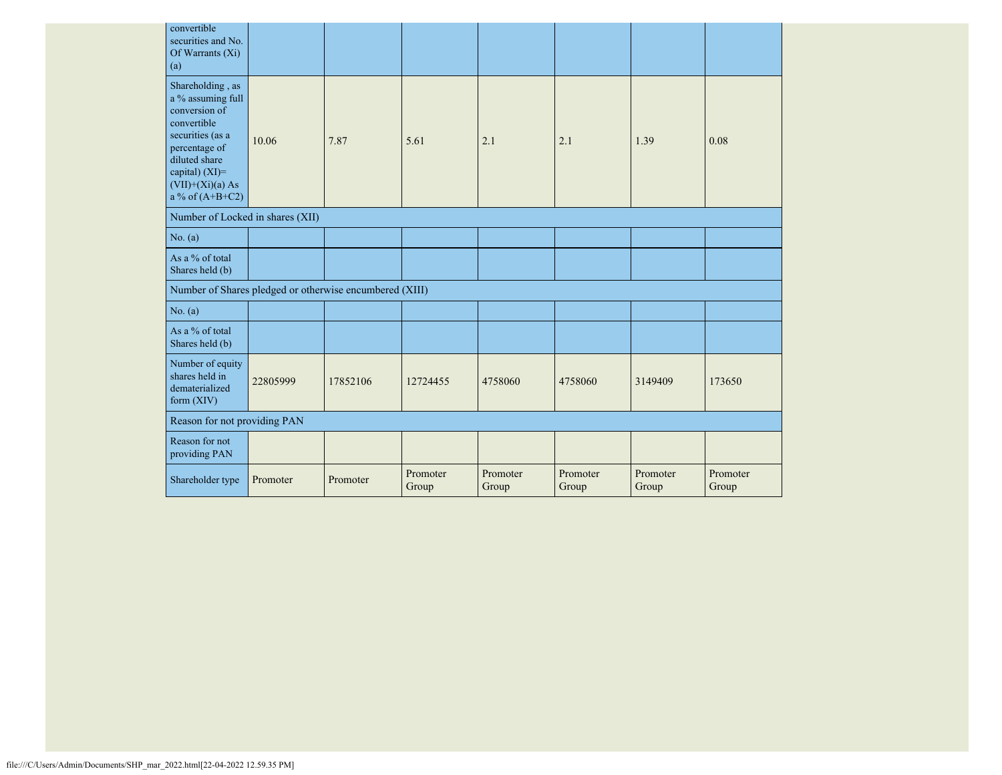| convertible<br>securities and No.<br>Of Warrants $(X_i)$<br>(a)                                                                                                                          |          |          |                   |                   |                   |                   |                   |
|------------------------------------------------------------------------------------------------------------------------------------------------------------------------------------------|----------|----------|-------------------|-------------------|-------------------|-------------------|-------------------|
| Shareholding, as<br>a % assuming full<br>conversion of<br>convertible<br>securities (as a<br>percentage of<br>diluted share<br>capital) (XI)=<br>$(VII)+(Xi)(a) As$<br>a % of $(A+B+C2)$ | 10.06    | 7.87     | 5.61              | 2.1               | 2.1               | 1.39              | 0.08              |
| Number of Locked in shares (XII)                                                                                                                                                         |          |          |                   |                   |                   |                   |                   |
| No. (a)                                                                                                                                                                                  |          |          |                   |                   |                   |                   |                   |
| As a % of total<br>Shares held (b)                                                                                                                                                       |          |          |                   |                   |                   |                   |                   |
| Number of Shares pledged or otherwise encumbered (XIII)                                                                                                                                  |          |          |                   |                   |                   |                   |                   |
| No. (a)                                                                                                                                                                                  |          |          |                   |                   |                   |                   |                   |
| As a % of total<br>Shares held (b)                                                                                                                                                       |          |          |                   |                   |                   |                   |                   |
| Number of equity<br>shares held in<br>dematerialized<br>form $(XIV)$                                                                                                                     | 22805999 | 17852106 | 12724455          | 4758060           | 4758060           | 3149409           | 173650            |
| Reason for not providing PAN                                                                                                                                                             |          |          |                   |                   |                   |                   |                   |
| Reason for not<br>providing PAN                                                                                                                                                          |          |          |                   |                   |                   |                   |                   |
| Shareholder type                                                                                                                                                                         | Promoter | Promoter | Promoter<br>Group | Promoter<br>Group | Promoter<br>Group | Promoter<br>Group | Promoter<br>Group |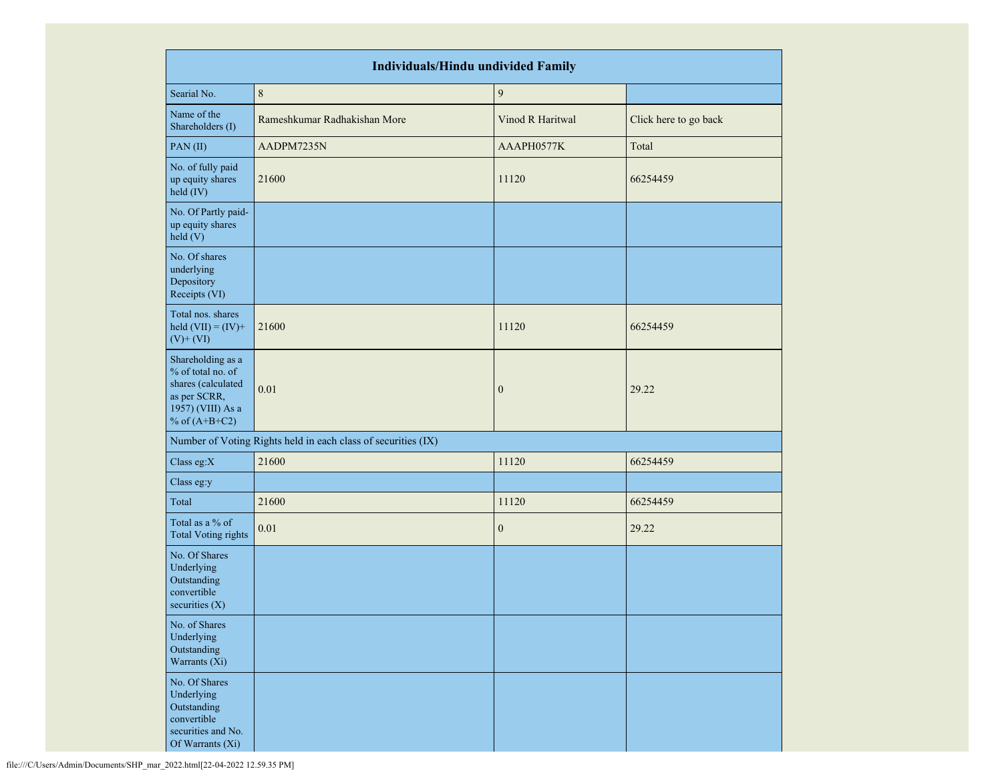|                                                                                                                      | <b>Individuals/Hindu undivided Family</b>                     |                  |                       |  |  |  |  |  |  |
|----------------------------------------------------------------------------------------------------------------------|---------------------------------------------------------------|------------------|-----------------------|--|--|--|--|--|--|
| Searial No.                                                                                                          | $\,8\,$                                                       | $\boldsymbol{9}$ |                       |  |  |  |  |  |  |
| Name of the<br>Shareholders (I)                                                                                      | Rameshkumar Radhakishan More                                  | Vinod R Haritwal | Click here to go back |  |  |  |  |  |  |
| PAN (II)                                                                                                             | AADPM7235N                                                    | AAAPH0577K       | Total                 |  |  |  |  |  |  |
| No. of fully paid<br>up equity shares<br>held (IV)                                                                   | 21600                                                         | 11120            | 66254459              |  |  |  |  |  |  |
| No. Of Partly paid-<br>up equity shares<br>held (V)                                                                  |                                                               |                  |                       |  |  |  |  |  |  |
| No. Of shares<br>underlying<br>Depository<br>Receipts (VI)                                                           |                                                               |                  |                       |  |  |  |  |  |  |
| Total nos. shares<br>held $(VII) = (IV) +$<br>$(V)$ + $(VI)$                                                         | 21600                                                         | 11120            | 66254459              |  |  |  |  |  |  |
| Shareholding as a<br>% of total no. of<br>shares (calculated<br>as per SCRR,<br>1957) (VIII) As a<br>% of $(A+B+C2)$ | 0.01                                                          | $\mathbf{0}$     | 29.22                 |  |  |  |  |  |  |
|                                                                                                                      | Number of Voting Rights held in each class of securities (IX) |                  |                       |  |  |  |  |  |  |
| Class eg:X                                                                                                           | 21600                                                         | 11120            | 66254459              |  |  |  |  |  |  |
| Class eg:y                                                                                                           |                                                               |                  |                       |  |  |  |  |  |  |
| Total                                                                                                                | 21600                                                         | 11120            | 66254459              |  |  |  |  |  |  |
| Total as a % of<br><b>Total Voting rights</b>                                                                        | 0.01                                                          | $\mathbf{0}$     | 29.22                 |  |  |  |  |  |  |
| No. Of Shares<br>Underlying<br>Outstanding<br>convertible<br>securities $(X)$                                        |                                                               |                  |                       |  |  |  |  |  |  |
| No. of Shares<br>Underlying<br>Outstanding<br>Warrants (Xi)                                                          |                                                               |                  |                       |  |  |  |  |  |  |
| No. Of Shares<br>Underlying<br>Outstanding<br>convertible<br>securities and No.<br>Of Warrants (Xi)                  |                                                               |                  |                       |  |  |  |  |  |  |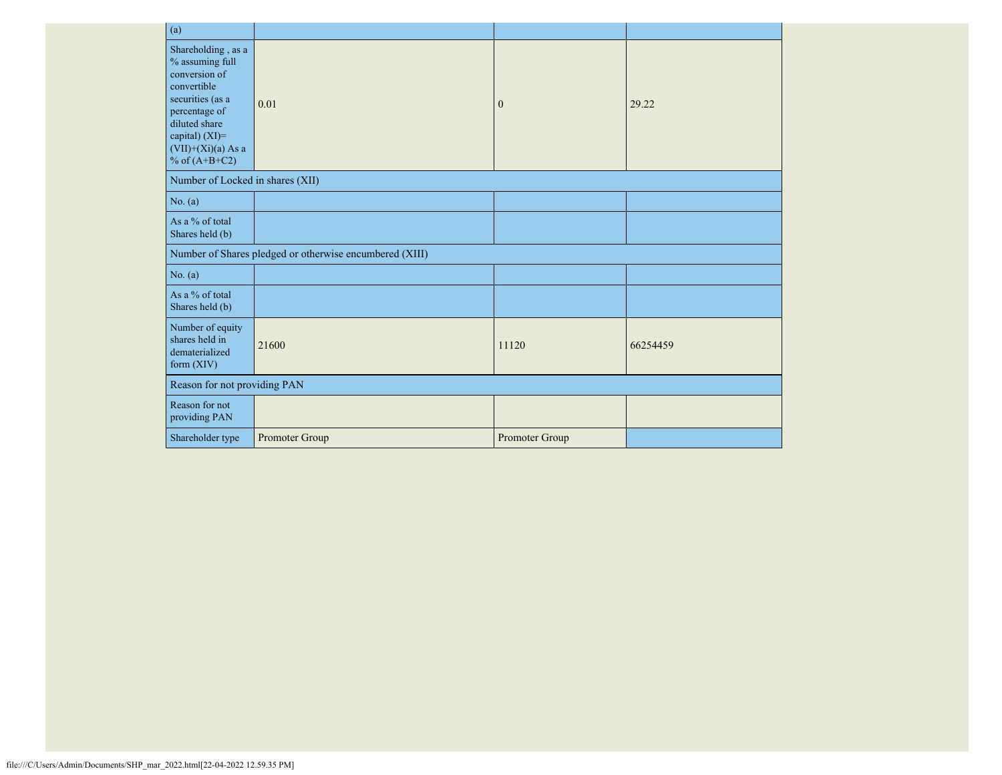| (a)                                                                                                                                                                                      |                                                         |                |          |  |
|------------------------------------------------------------------------------------------------------------------------------------------------------------------------------------------|---------------------------------------------------------|----------------|----------|--|
| Shareholding, as a<br>% assuming full<br>conversion of<br>convertible<br>securities (as a<br>percentage of<br>diluted share<br>capital) (XI)=<br>$(VII)+(Xi)(a)$ As a<br>% of $(A+B+C2)$ | 0.01                                                    | $\overline{0}$ | 29.22    |  |
| Number of Locked in shares (XII)                                                                                                                                                         |                                                         |                |          |  |
| No. (a)                                                                                                                                                                                  |                                                         |                |          |  |
| As a % of total<br>Shares held (b)                                                                                                                                                       |                                                         |                |          |  |
|                                                                                                                                                                                          | Number of Shares pledged or otherwise encumbered (XIII) |                |          |  |
| No. (a)                                                                                                                                                                                  |                                                         |                |          |  |
| As a % of total<br>Shares held (b)                                                                                                                                                       |                                                         |                |          |  |
| Number of equity<br>shares held in<br>dematerialized<br>form $(XIV)$                                                                                                                     | 21600                                                   | 11120          | 66254459 |  |
| Reason for not providing PAN                                                                                                                                                             |                                                         |                |          |  |
| Reason for not<br>providing PAN                                                                                                                                                          |                                                         |                |          |  |
| Shareholder type                                                                                                                                                                         | Promoter Group                                          | Promoter Group |          |  |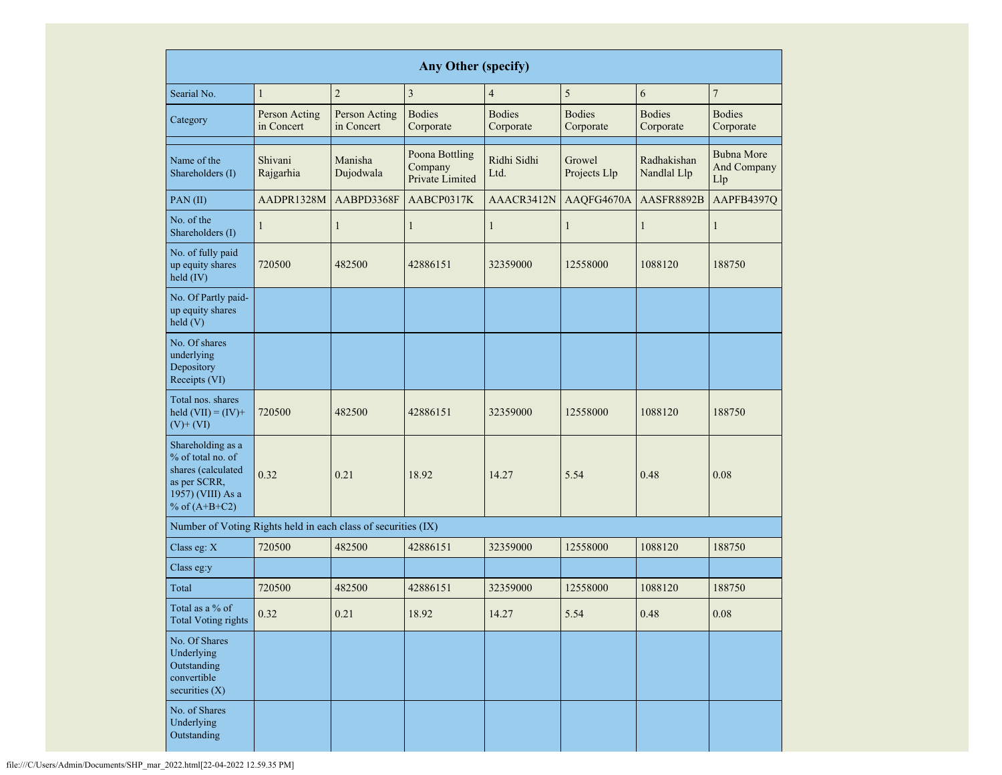|                                                                                                                      | Any Other (specify)         |                             |                                              |                            |                            |                            |                                         |  |  |  |  |  |  |  |
|----------------------------------------------------------------------------------------------------------------------|-----------------------------|-----------------------------|----------------------------------------------|----------------------------|----------------------------|----------------------------|-----------------------------------------|--|--|--|--|--|--|--|
| Searial No.                                                                                                          | $\mathbf{1}$                | $\overline{c}$              | $\mathfrak{Z}$                               | $\overline{4}$             | 5                          | 6                          | $\overline{7}$                          |  |  |  |  |  |  |  |
| Category                                                                                                             | Person Acting<br>in Concert | Person Acting<br>in Concert | <b>Bodies</b><br>Corporate                   | <b>Bodies</b><br>Corporate | <b>Bodies</b><br>Corporate | <b>Bodies</b><br>Corporate | <b>Bodies</b><br>Corporate              |  |  |  |  |  |  |  |
| Name of the<br>Shareholders (I)                                                                                      | Shivani<br>Rajgarhia        | Manisha<br>Dujodwala        | Poona Bottling<br>Company<br>Private Limited | Ridhi Sidhi<br>Ltd.        | Growel<br>Projects Llp     | Radhakishan<br>Nandlal Llp | <b>Bubna More</b><br>And Company<br>Llp |  |  |  |  |  |  |  |
| PAN (II)                                                                                                             | AADPR1328M                  | AABPD3368F                  | AABCP0317K                                   | AAACR3412N                 | AAQFG4670A                 | AASFR8892B                 | AAPFB4397Q                              |  |  |  |  |  |  |  |
| No. of the<br>Shareholders (I)                                                                                       | ı                           | 1                           | $\mathbf{1}$                                 | $\mathbf{1}$               | $\mathbf{1}$               | $\mathbf{1}$               | 1                                       |  |  |  |  |  |  |  |
| No. of fully paid<br>up equity shares<br>held (IV)                                                                   | 720500                      | 482500                      | 42886151                                     | 32359000                   | 12558000                   | 1088120                    | 188750                                  |  |  |  |  |  |  |  |
| No. Of Partly paid-<br>up equity shares<br>held $(V)$                                                                |                             |                             |                                              |                            |                            |                            |                                         |  |  |  |  |  |  |  |
| No. Of shares<br>underlying<br>Depository<br>Receipts (VI)                                                           |                             |                             |                                              |                            |                            |                            |                                         |  |  |  |  |  |  |  |
| Total nos. shares<br>held $(VII) = (IV) +$<br>$(V)$ + $(VI)$                                                         | 720500                      | 482500                      | 42886151                                     | 32359000                   | 12558000                   | 1088120                    | 188750                                  |  |  |  |  |  |  |  |
| Shareholding as a<br>% of total no. of<br>shares (calculated<br>as per SCRR,<br>1957) (VIII) As a<br>% of $(A+B+C2)$ | 0.32                        | 0.21                        | 18.92                                        | 14.27                      | 5.54                       | 0.48                       | 0.08                                    |  |  |  |  |  |  |  |
| Number of Voting Rights held in each class of securities (IX)                                                        |                             |                             |                                              |                            |                            |                            |                                         |  |  |  |  |  |  |  |
| Class eg: X                                                                                                          | 720500                      | 482500                      | 42886151                                     | 32359000                   | 12558000                   | 1088120                    | 188750                                  |  |  |  |  |  |  |  |
| Class eg:y                                                                                                           |                             |                             |                                              |                            |                            |                            |                                         |  |  |  |  |  |  |  |
| Total                                                                                                                | 720500                      | 482500                      | 42886151                                     | 32359000                   | 12558000                   | 1088120                    | 188750                                  |  |  |  |  |  |  |  |
| Total as a % of<br><b>Total Voting rights</b>                                                                        | 0.32                        | 0.21                        | 18.92                                        | 14.27                      | 5.54                       | 0.48                       | $0.08\,$                                |  |  |  |  |  |  |  |
| No. Of Shares<br>Underlying<br>Outstanding<br>convertible<br>securities $(X)$                                        |                             |                             |                                              |                            |                            |                            |                                         |  |  |  |  |  |  |  |
| No. of Shares<br>Underlying<br>Outstanding                                                                           |                             |                             |                                              |                            |                            |                            |                                         |  |  |  |  |  |  |  |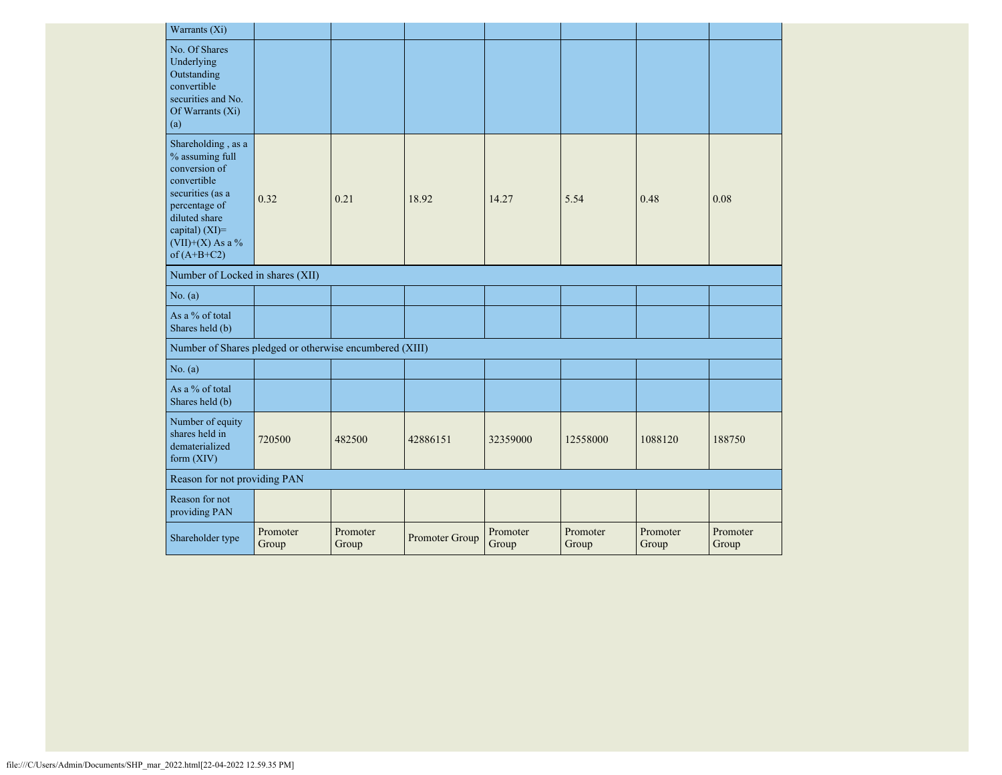| Warrants (Xi)                                                                                                                                                                        |                   |                   |                |                   |                   |                   |                   |
|--------------------------------------------------------------------------------------------------------------------------------------------------------------------------------------|-------------------|-------------------|----------------|-------------------|-------------------|-------------------|-------------------|
| No. Of Shares<br>Underlying<br>Outstanding<br>convertible<br>securities and No.<br>Of Warrants (Xi)<br>(a)                                                                           |                   |                   |                |                   |                   |                   |                   |
| Shareholding, as a<br>% assuming full<br>conversion of<br>convertible<br>securities (as a<br>percentage of<br>diluted share<br>capital) (XI)=<br>$(VII)+(X)$ As a %<br>of $(A+B+C2)$ | 0.32              | 0.21              | 18.92          | 14.27             | 5.54              | 0.48              | 0.08              |
| Number of Locked in shares (XII)                                                                                                                                                     |                   |                   |                |                   |                   |                   |                   |
| No. (a)                                                                                                                                                                              |                   |                   |                |                   |                   |                   |                   |
| As a % of total<br>Shares held (b)                                                                                                                                                   |                   |                   |                |                   |                   |                   |                   |
| Number of Shares pledged or otherwise encumbered (XIII)                                                                                                                              |                   |                   |                |                   |                   |                   |                   |
| No. (a)                                                                                                                                                                              |                   |                   |                |                   |                   |                   |                   |
| As a % of total<br>Shares held (b)                                                                                                                                                   |                   |                   |                |                   |                   |                   |                   |
| Number of equity<br>shares held in<br>dematerialized<br>form $(XIV)$                                                                                                                 | 720500            | 482500            | 42886151       | 32359000          | 12558000          | 1088120           | 188750            |
| Reason for not providing PAN                                                                                                                                                         |                   |                   |                |                   |                   |                   |                   |
| Reason for not<br>providing PAN                                                                                                                                                      |                   |                   |                |                   |                   |                   |                   |
| Shareholder type                                                                                                                                                                     | Promoter<br>Group | Promoter<br>Group | Promoter Group | Promoter<br>Group | Promoter<br>Group | Promoter<br>Group | Promoter<br>Group |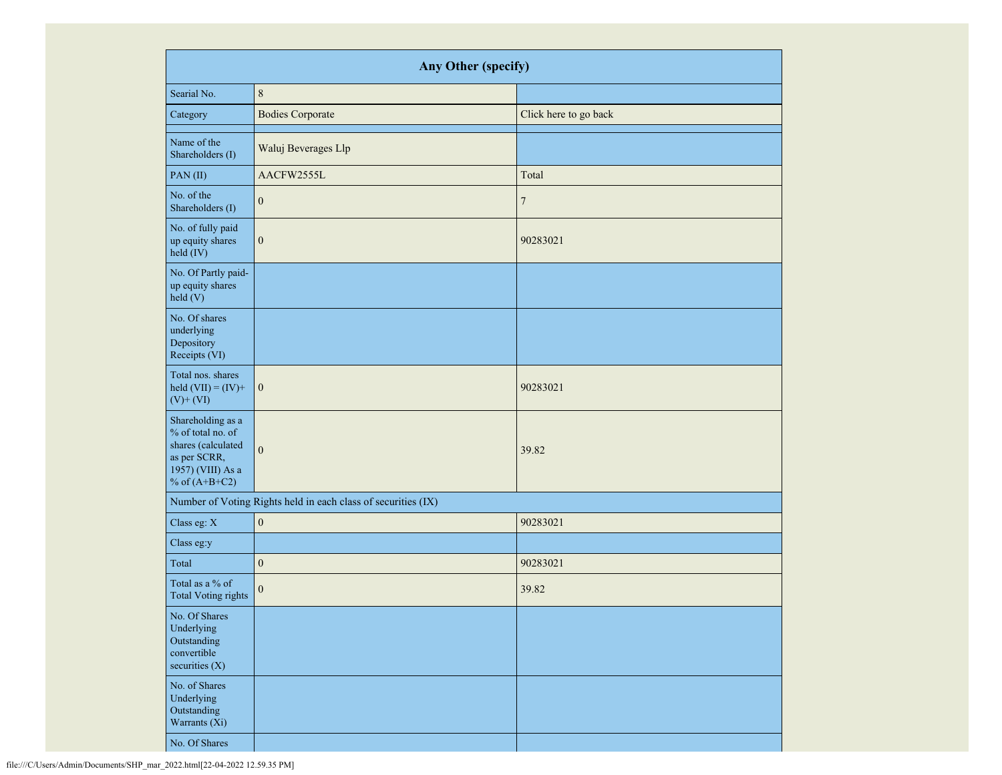|                                                                                                                      | Any Other (specify)                                           |                       |  |  |  |  |  |  |  |  |
|----------------------------------------------------------------------------------------------------------------------|---------------------------------------------------------------|-----------------------|--|--|--|--|--|--|--|--|
| Searial No.                                                                                                          | $\,8\,$                                                       |                       |  |  |  |  |  |  |  |  |
| Category                                                                                                             | <b>Bodies Corporate</b>                                       | Click here to go back |  |  |  |  |  |  |  |  |
| Name of the<br>Shareholders (I)                                                                                      | Waluj Beverages Llp                                           |                       |  |  |  |  |  |  |  |  |
| PAN(II)                                                                                                              | AACFW2555L                                                    | Total                 |  |  |  |  |  |  |  |  |
| No. of the<br>Shareholders (I)                                                                                       | $\mathbf{0}$                                                  | $\tau$                |  |  |  |  |  |  |  |  |
| No. of fully paid<br>up equity shares<br>held (IV)                                                                   | $\boldsymbol{0}$                                              | 90283021              |  |  |  |  |  |  |  |  |
| No. Of Partly paid-<br>up equity shares<br>held (V)                                                                  |                                                               |                       |  |  |  |  |  |  |  |  |
| No. Of shares<br>underlying<br>Depository<br>Receipts (VI)                                                           |                                                               |                       |  |  |  |  |  |  |  |  |
| Total nos. shares<br>held $(VII) = (IV) +$<br>$(V)$ + $(VI)$                                                         | $\boldsymbol{0}$                                              | 90283021              |  |  |  |  |  |  |  |  |
| Shareholding as a<br>% of total no. of<br>shares (calculated<br>as per SCRR,<br>1957) (VIII) As a<br>% of $(A+B+C2)$ | $\mathbf{0}$                                                  | 39.82                 |  |  |  |  |  |  |  |  |
|                                                                                                                      | Number of Voting Rights held in each class of securities (IX) |                       |  |  |  |  |  |  |  |  |
| Class eg: X                                                                                                          | $\boldsymbol{0}$                                              | 90283021              |  |  |  |  |  |  |  |  |
| Class eg:y                                                                                                           |                                                               |                       |  |  |  |  |  |  |  |  |
| Total                                                                                                                | $\boldsymbol{0}$                                              | 90283021              |  |  |  |  |  |  |  |  |
| Total as a % of<br><b>Total Voting rights</b>                                                                        | $\boldsymbol{0}$                                              | 39.82                 |  |  |  |  |  |  |  |  |
| No. Of Shares<br>Underlying<br>Outstanding<br>convertible<br>securities $(X)$                                        |                                                               |                       |  |  |  |  |  |  |  |  |
| No. of Shares<br>Underlying<br>Outstanding<br>Warrants (Xi)                                                          |                                                               |                       |  |  |  |  |  |  |  |  |
| No. Of Shares                                                                                                        |                                                               |                       |  |  |  |  |  |  |  |  |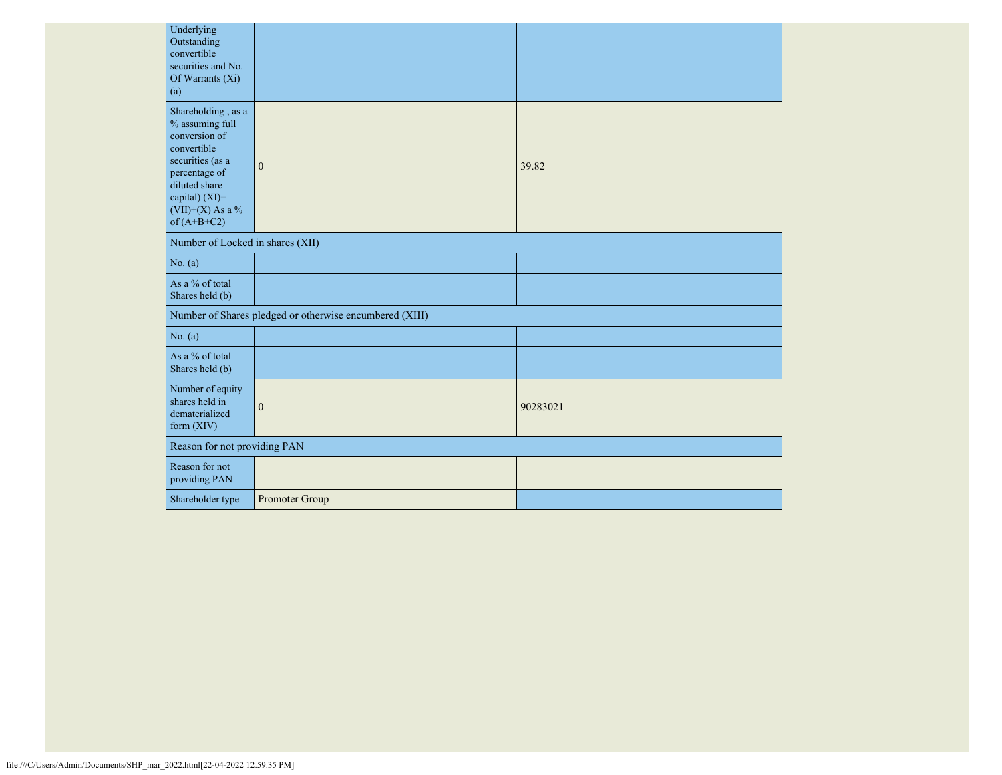| Underlying<br>Outstanding<br>convertible<br>securities and No.<br>Of Warrants (Xi)<br>(a)                                                                                            |                                                         |          |
|--------------------------------------------------------------------------------------------------------------------------------------------------------------------------------------|---------------------------------------------------------|----------|
| Shareholding, as a<br>% assuming full<br>conversion of<br>convertible<br>securities (as a<br>percentage of<br>diluted share<br>capital) (XI)=<br>$(VII)+(X)$ As a %<br>of $(A+B+C2)$ | $\mathbf{0}$                                            | 39.82    |
| Number of Locked in shares (XII)                                                                                                                                                     |                                                         |          |
| No. (a)                                                                                                                                                                              |                                                         |          |
| As a % of total<br>Shares held (b)                                                                                                                                                   |                                                         |          |
|                                                                                                                                                                                      | Number of Shares pledged or otherwise encumbered (XIII) |          |
| No. (a)                                                                                                                                                                              |                                                         |          |
| As a % of total<br>Shares held (b)                                                                                                                                                   |                                                         |          |
| Number of equity<br>shares held in<br>dematerialized<br>form (XIV)                                                                                                                   | $\boldsymbol{0}$                                        | 90283021 |
| Reason for not providing PAN                                                                                                                                                         |                                                         |          |
| Reason for not<br>providing PAN                                                                                                                                                      |                                                         |          |
| Shareholder type                                                                                                                                                                     | Promoter Group                                          |          |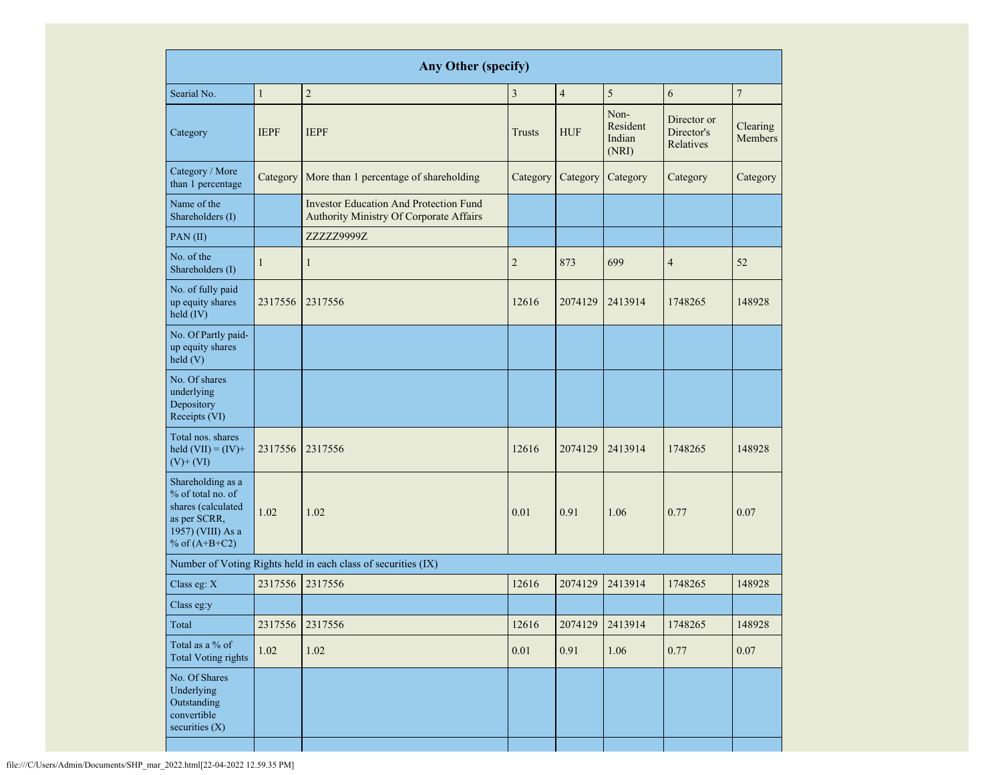|                                                                                                                      | <b>Any Other (specify)</b> |                                                                                          |                |                |                                     |                                        |                            |  |  |  |  |  |  |
|----------------------------------------------------------------------------------------------------------------------|----------------------------|------------------------------------------------------------------------------------------|----------------|----------------|-------------------------------------|----------------------------------------|----------------------------|--|--|--|--|--|--|
| Searial No.                                                                                                          | $\mathbf{1}$               | $\overline{2}$                                                                           | 3              | $\overline{4}$ | 5                                   | 6                                      | $\sqrt{ }$                 |  |  |  |  |  |  |
| Category                                                                                                             | <b>IEPF</b>                | <b>IEPF</b>                                                                              | Trusts         | <b>HUF</b>     | Non-<br>Resident<br>Indian<br>(NRI) | Director or<br>Director's<br>Relatives | Clearing<br><b>Members</b> |  |  |  |  |  |  |
| Category / More<br>than 1 percentage                                                                                 | Category                   | More than 1 percentage of shareholding                                                   | Category       | Category       | Category                            | Category                               | Category                   |  |  |  |  |  |  |
| Name of the<br>Shareholders $(1)$                                                                                    |                            | <b>Investor Education And Protection Fund</b><br>Authority Ministry Of Corporate Affairs |                |                |                                     |                                        |                            |  |  |  |  |  |  |
| PAN(II)                                                                                                              |                            | ZZZZZ9999Z                                                                               |                |                |                                     |                                        |                            |  |  |  |  |  |  |
| No. of the<br>Shareholders (I)                                                                                       | $\mathbf{1}$               | $\mathbf{1}$                                                                             | $\overline{2}$ | 873            | 699                                 | $\overline{4}$                         | 52                         |  |  |  |  |  |  |
| No. of fully paid<br>up equity shares<br>held (IV)                                                                   | 2317556                    | 2317556                                                                                  | 12616          | 2074129        | 2413914                             | 1748265                                | 148928                     |  |  |  |  |  |  |
| No. Of Partly paid-<br>up equity shares<br>held(V)                                                                   |                            |                                                                                          |                |                |                                     |                                        |                            |  |  |  |  |  |  |
| No. Of shares<br>underlying<br>Depository<br>Receipts (VI)                                                           |                            |                                                                                          |                |                |                                     |                                        |                            |  |  |  |  |  |  |
| Total nos. shares<br>held $(VII) = (IV) +$<br>$(V)$ + $(VI)$                                                         | 2317556                    | 2317556                                                                                  | 12616          | 2074129        | 2413914                             | 1748265                                | 148928                     |  |  |  |  |  |  |
| Shareholding as a<br>% of total no. of<br>shares (calculated<br>as per SCRR,<br>1957) (VIII) As a<br>% of $(A+B+C2)$ | 1.02                       | 1.02                                                                                     | 0.01           | 0.91           | 1.06                                | 0.77                                   | 0.07                       |  |  |  |  |  |  |
|                                                                                                                      |                            | Number of Voting Rights held in each class of securities (IX)                            |                |                |                                     |                                        |                            |  |  |  |  |  |  |
| Class eg: X                                                                                                          | 2317556                    | 2317556                                                                                  | 12616          | 2074129        | 2413914                             | 1748265                                | 148928                     |  |  |  |  |  |  |
| Class eg:y                                                                                                           |                            |                                                                                          |                |                |                                     |                                        |                            |  |  |  |  |  |  |
| Total                                                                                                                | 2317556                    | 2317556                                                                                  | 12616          | 2074129        | 2413914                             | 1748265                                | 148928                     |  |  |  |  |  |  |
| Total as a % of<br><b>Total Voting rights</b>                                                                        | 1.02                       | 1.02                                                                                     | 0.01           | 0.91           | 1.06                                | 0.77                                   | $0.07\,$                   |  |  |  |  |  |  |
| No. Of Shares<br>Underlying<br>Outstanding<br>convertible<br>securities $(X)$                                        |                            |                                                                                          |                |                |                                     |                                        |                            |  |  |  |  |  |  |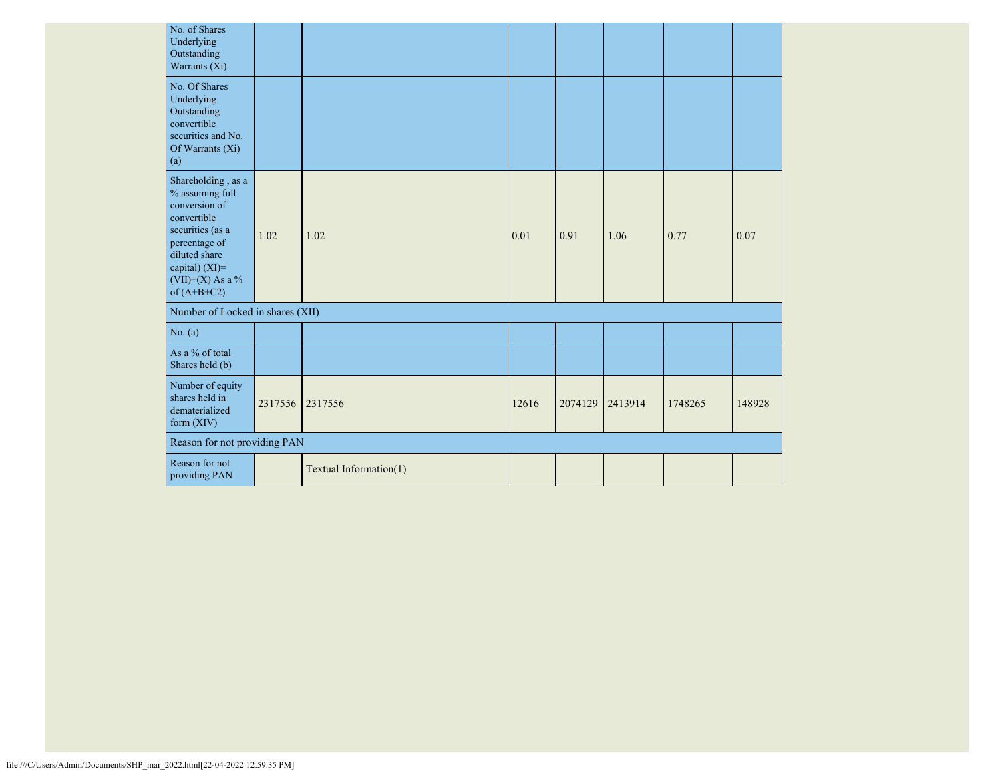| No. of Shares<br>Underlying<br>Outstanding<br>Warrants (Xi)                                                                                                                          |         |                        |       |         |         |         |        |
|--------------------------------------------------------------------------------------------------------------------------------------------------------------------------------------|---------|------------------------|-------|---------|---------|---------|--------|
| No. Of Shares<br>Underlying<br>Outstanding<br>convertible<br>securities and No.<br>Of Warrants (Xi)<br>(a)                                                                           |         |                        |       |         |         |         |        |
| Shareholding, as a<br>% assuming full<br>conversion of<br>convertible<br>securities (as a<br>percentage of<br>diluted share<br>capital) (XI)=<br>$(VII)+(X)$ As a %<br>of $(A+B+C2)$ | 1.02    | 1.02                   | 0.01  | 0.91    | 1.06    | 0.77    | 0.07   |
| Number of Locked in shares (XII)                                                                                                                                                     |         |                        |       |         |         |         |        |
| No. (a)                                                                                                                                                                              |         |                        |       |         |         |         |        |
| As a % of total<br>Shares held (b)                                                                                                                                                   |         |                        |       |         |         |         |        |
| Number of equity<br>shares held in<br>dematerialized<br>form (XIV)                                                                                                                   | 2317556 | 2317556                | 12616 | 2074129 | 2413914 | 1748265 | 148928 |
| Reason for not providing PAN                                                                                                                                                         |         |                        |       |         |         |         |        |
| Reason for not<br>providing PAN                                                                                                                                                      |         | Textual Information(1) |       |         |         |         |        |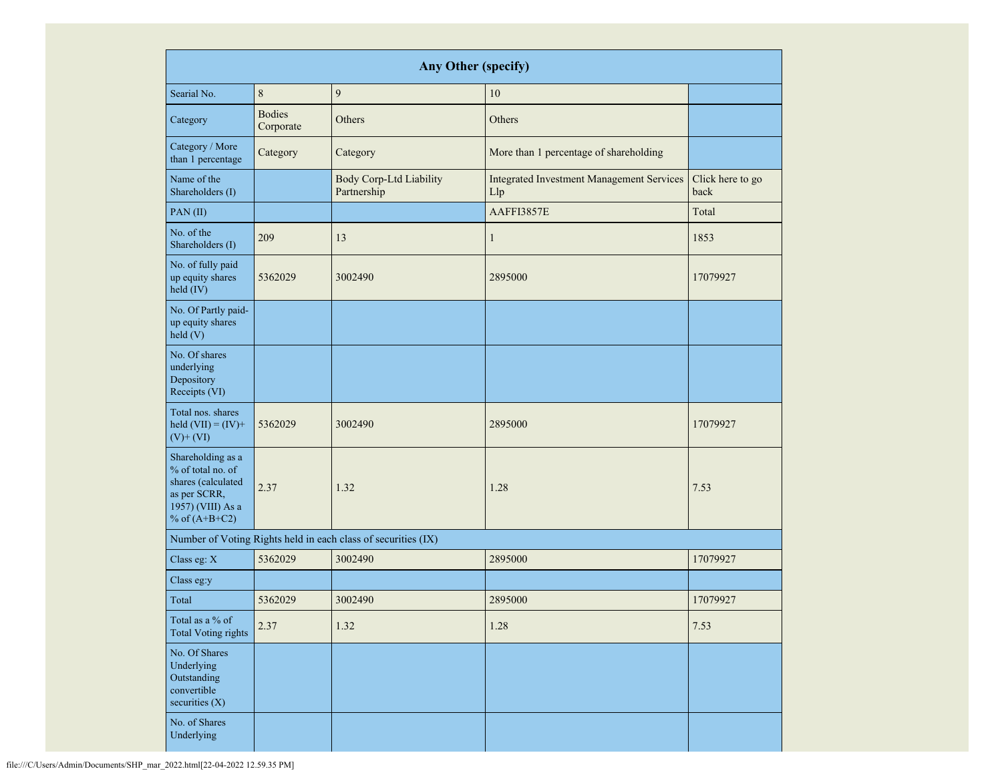|                                                                                                                      |                            | <b>Any Other (specify)</b>                                    |                                                         |                          |
|----------------------------------------------------------------------------------------------------------------------|----------------------------|---------------------------------------------------------------|---------------------------------------------------------|--------------------------|
| Searial No.                                                                                                          | 8                          | 9                                                             | 10                                                      |                          |
| Category                                                                                                             | <b>Bodies</b><br>Corporate | Others                                                        | Others                                                  |                          |
| Category / More<br>than 1 percentage                                                                                 | Category                   | Category                                                      | More than 1 percentage of shareholding                  |                          |
| Name of the<br>Shareholders (I)                                                                                      |                            | <b>Body Corp-Ltd Liability</b><br>Partnership                 | <b>Integrated Investment Management Services</b><br>Llp | Click here to go<br>back |
| PAN (II)                                                                                                             |                            |                                                               | AAFFI3857E                                              | Total                    |
| No. of the<br>Shareholders (I)                                                                                       | 209                        | 13                                                            | $\mathbf{1}$                                            | 1853                     |
| No. of fully paid<br>up equity shares<br>held (IV)                                                                   | 5362029<br>3002490         |                                                               | 2895000                                                 | 17079927                 |
| No. Of Partly paid-<br>up equity shares<br>held(V)                                                                   |                            |                                                               |                                                         |                          |
| No. Of shares<br>underlying<br>Depository<br>Receipts (VI)                                                           |                            |                                                               |                                                         |                          |
| Total nos. shares<br>held $(VII) = (IV) +$<br>$(V)$ + $(VI)$                                                         | 5362029                    | 3002490                                                       | 2895000                                                 | 17079927                 |
| Shareholding as a<br>% of total no. of<br>shares (calculated<br>as per SCRR,<br>1957) (VIII) As a<br>% of $(A+B+C2)$ | 2.37<br>1.32               |                                                               | 1.28                                                    | 7.53                     |
|                                                                                                                      |                            | Number of Voting Rights held in each class of securities (IX) |                                                         |                          |
| Class eg: X                                                                                                          | 5362029                    | 3002490                                                       | 2895000                                                 | 17079927                 |
| Class eg:y                                                                                                           |                            |                                                               |                                                         |                          |
| Total                                                                                                                | 5362029                    | 3002490                                                       | 2895000                                                 | 17079927                 |
| Total as a % of<br><b>Total Voting rights</b>                                                                        | 2.37                       | 1.32                                                          | 1.28                                                    | 7.53                     |
| No. Of Shares<br>Underlying<br>Outstanding<br>convertible<br>securities $(X)$                                        |                            |                                                               |                                                         |                          |
| No. of Shares<br>Underlying                                                                                          |                            |                                                               |                                                         |                          |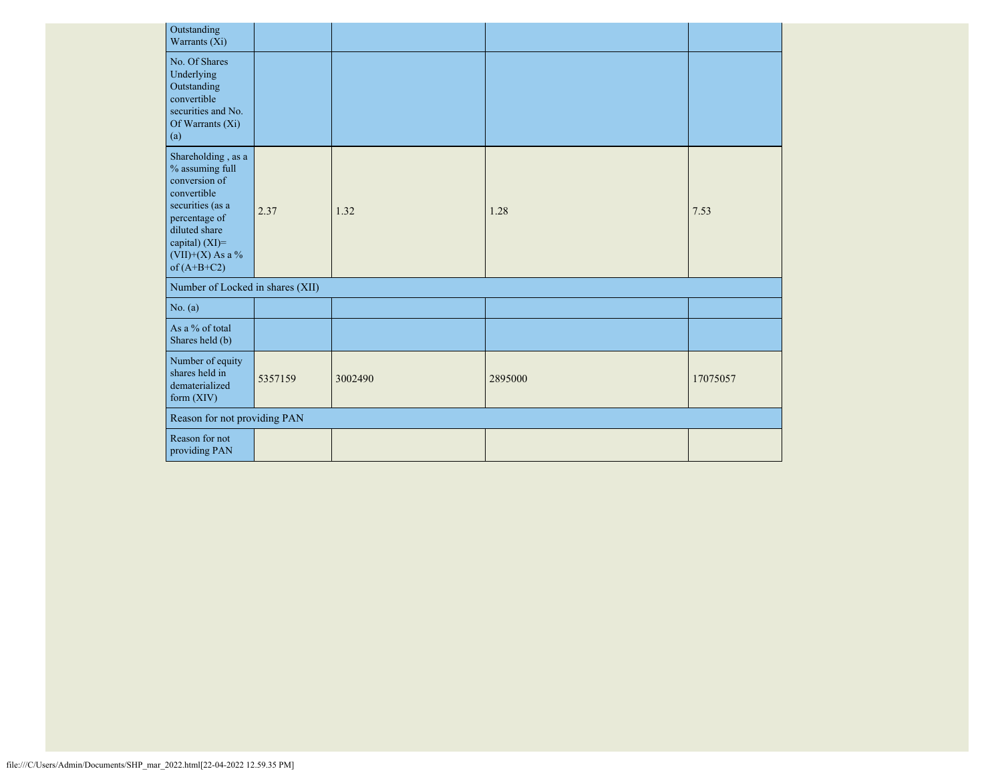| Outstanding<br>Warrants (Xi)                                                                                                                                                          |         |         |         |          |
|---------------------------------------------------------------------------------------------------------------------------------------------------------------------------------------|---------|---------|---------|----------|
| No. Of Shares<br>Underlying<br>Outstanding<br>convertible<br>securities and No.<br>Of Warrants (Xi)<br>(a)                                                                            |         |         |         |          |
| Shareholding, as a<br>$\%$ assuming full<br>conversion of<br>convertible<br>securities (as a<br>percentage of<br>diluted share<br>capital) (XI)=<br>(VII)+(X) As a %<br>of $(A+B+C2)$ | 2.37    | 1.32    | 1.28    | 7.53     |
| Number of Locked in shares (XII)                                                                                                                                                      |         |         |         |          |
| No. (a)                                                                                                                                                                               |         |         |         |          |
| As a % of total<br>Shares held (b)                                                                                                                                                    |         |         |         |          |
| Number of equity<br>shares held in<br>dematerialized<br>form $(XIV)$                                                                                                                  | 5357159 | 3002490 | 2895000 | 17075057 |
| Reason for not providing PAN                                                                                                                                                          |         |         |         |          |
| Reason for not<br>providing PAN                                                                                                                                                       |         |         |         |          |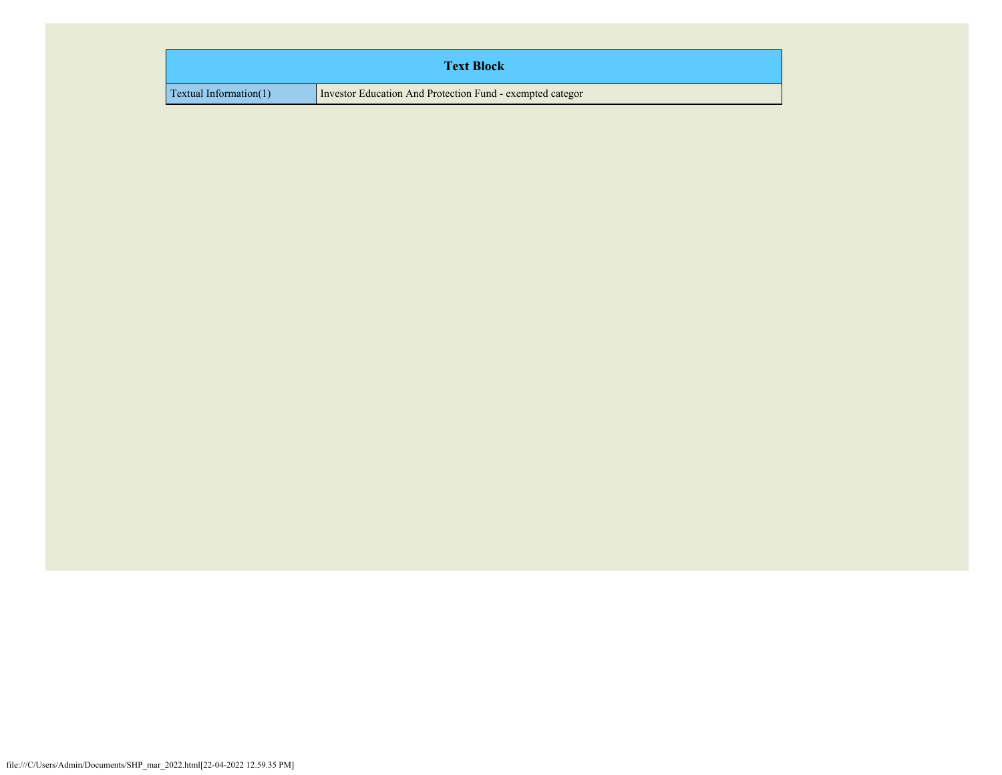| <b>Text Block</b>               |                                                           |  |  |  |  |  |
|---------------------------------|-----------------------------------------------------------|--|--|--|--|--|
| $\Gamma$ Textual Information(1) | Investor Education And Protection Fund - exempted categor |  |  |  |  |  |